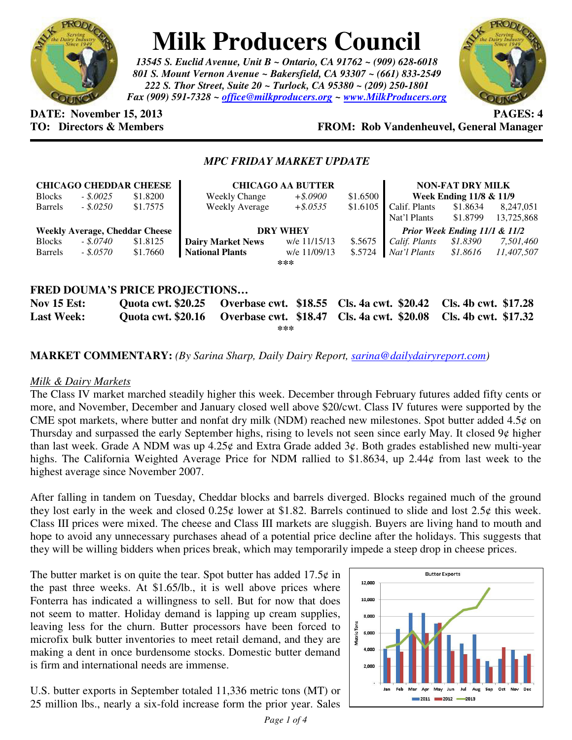

# **Milk Producers Council**

*13545 S. Euclid Avenue, Unit B ~ Ontario, CA 91762 ~ (909) 628-6018 801 S. Mount Vernon Avenue ~ Bakersfield, CA 93307 ~ (661) 833-2549 222 S. Thor Street, Suite 20 ~ Turlock, CA 95380 ~ (209) 250-1801 Fax (909) 591-7328 ~ office@milkproducers.org ~ www.MilkProducers.org*



**DATE: November 15, 2013 PAGES: 4** 

## **TO: Directors & Members FROM: Rob Vandenheuvel, General Manager**

### *MPC FRIDAY MARKET UPDATE*

|                                                                                                                    |            | <b>CHICAGO CHEDDAR CHEESE</b> | <b>CHICAGO AA BUTTER</b> |              |          | <b>NON-FAT DRY MILK</b>       |          |            |
|--------------------------------------------------------------------------------------------------------------------|------------|-------------------------------|--------------------------|--------------|----------|-------------------------------|----------|------------|
| <b>Blocks</b>                                                                                                      | $-.5.0025$ | \$1.8200                      | <b>Weekly Change</b>     | $+$ \$.0900  | \$1.6500 | Week Ending 11/8 & 11/9       |          |            |
| <b>Barrels</b>                                                                                                     | $-.50250$  | \$1.7575                      | Weekly Average           | $+$ \$.0535  | \$1.6105 | Calif. Plants                 | \$1.8634 | 8,247,051  |
|                                                                                                                    |            |                               |                          |              |          | Nat'l Plants                  | \$1.8799 | 13,725,868 |
| <b>Weekly Average, Cheddar Cheese</b>                                                                              |            |                               | <b>DRY WHEY</b>          |              |          | Prior Week Ending 11/1 & 11/2 |          |            |
| <b>Blocks</b>                                                                                                      | - \$.0740  | \$1.8125                      | <b>Dairy Market News</b> | w/e 11/15/13 | \$.5675  | Calif. Plants                 | \$1.8390 | 7,501,460  |
| <b>Barrels</b>                                                                                                     | - \$.0570  | \$1.7660                      | <b>National Plants</b>   | w/e 11/09/13 | \$.5724  | Nat'l Plants                  | \$1.8616 | 11.407.507 |
| ***                                                                                                                |            |                               |                          |              |          |                               |          |            |
|                                                                                                                    |            |                               |                          |              |          |                               |          |            |
| <b>FRED DOUMA'S PRICE PROJECTIONS</b>                                                                              |            |                               |                          |              |          |                               |          |            |
| Overbase cwt. \$18.55 Cls. 4a cwt. \$20.42 Cls. 4b cwt. \$17.28<br><b>Nov 15 Est:</b><br><b>Ouota cwt. \$20.25</b> |            |                               |                          |              |          |                               |          |            |
|                                                                                                                    |            |                               |                          |              |          |                               |          |            |

**Last Week: Quota cwt. \$20.16 Overbase cwt. \$18.47 Cls. 4a cwt. \$20.08 Cls. 4b cwt. \$17.32 \*\*\*** 

**MARKET COMMENTARY:** *(By Sarina Sharp, Daily Dairy Report, sarina@dailydairyreport.com)* 

#### *Milk & Dairy Markets*

The Class IV market marched steadily higher this week. December through February futures added fifty cents or more, and November, December and January closed well above \$20/cwt. Class IV futures were supported by the CME spot markets, where butter and nonfat dry milk (NDM) reached new milestones. Spot butter added  $4.5\phi$  on Thursday and surpassed the early September highs, rising to levels not seen since early May. It closed 9¢ higher than last week. Grade A NDM was up 4.25¢ and Extra Grade added 3¢. Both grades established new multi-year highs. The California Weighted Average Price for NDM rallied to \$1.8634, up 2.44¢ from last week to the highest average since November 2007.

After falling in tandem on Tuesday, Cheddar blocks and barrels diverged. Blocks regained much of the ground they lost early in the week and closed  $0.25\phi$  lower at \$1.82. Barrels continued to slide and lost  $2.5\phi$  this week. Class III prices were mixed. The cheese and Class III markets are sluggish. Buyers are living hand to mouth and hope to avoid any unnecessary purchases ahead of a potential price decline after the holidays. This suggests that they will be willing bidders when prices break, which may temporarily impede a steep drop in cheese prices.

The butter market is on quite the tear. Spot butter has added  $17.5¢$  in the past three weeks. At \$1.65/lb., it is well above prices where Fonterra has indicated a willingness to sell. But for now that does not seem to matter. Holiday demand is lapping up cream supplies, leaving less for the churn. Butter processors have been forced to microfix bulk butter inventories to meet retail demand, and they are making a dent in once burdensome stocks. Domestic butter demand is firm and international needs are immense.

U.S. butter exports in September totaled 11,336 metric tons (MT) or 25 million lbs., nearly a six-fold increase form the prior year. Sales

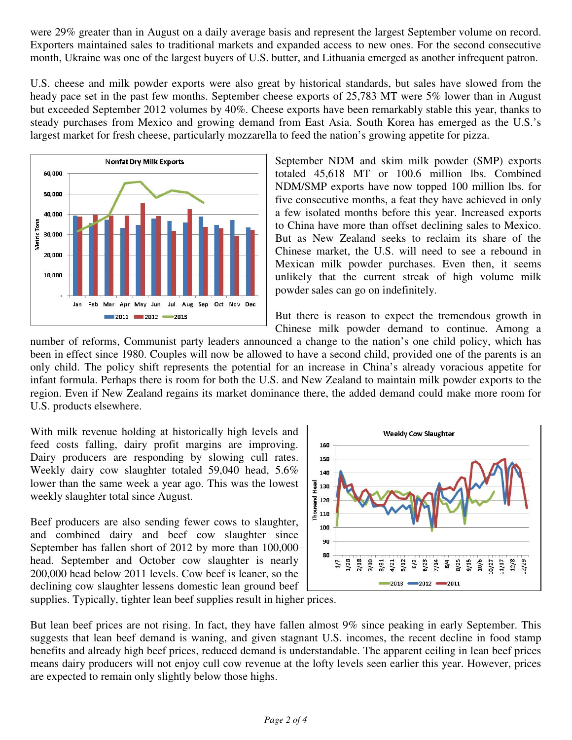were 29% greater than in August on a daily average basis and represent the largest September volume on record. Exporters maintained sales to traditional markets and expanded access to new ones. For the second consecutive month, Ukraine was one of the largest buyers of U.S. butter, and Lithuania emerged as another infrequent patron.

U.S. cheese and milk powder exports were also great by historical standards, but sales have slowed from the heady pace set in the past few months. September cheese exports of 25,783 MT were 5% lower than in August but exceeded September 2012 volumes by 40%. Cheese exports have been remarkably stable this year, thanks to steady purchases from Mexico and growing demand from East Asia. South Korea has emerged as the U.S.'s largest market for fresh cheese, particularly mozzarella to feed the nation's growing appetite for pizza.



September NDM and skim milk powder (SMP) exports totaled 45,618 MT or 100.6 million lbs. Combined NDM/SMP exports have now topped 100 million lbs. for five consecutive months, a feat they have achieved in only a few isolated months before this year. Increased exports to China have more than offset declining sales to Mexico. But as New Zealand seeks to reclaim its share of the Chinese market, the U.S. will need to see a rebound in Mexican milk powder purchases. Even then, it seems unlikely that the current streak of high volume milk powder sales can go on indefinitely.

But there is reason to expect the tremendous growth in Chinese milk powder demand to continue. Among a

number of reforms, Communist party leaders announced a change to the nation's one child policy, which has been in effect since 1980. Couples will now be allowed to have a second child, provided one of the parents is an only child. The policy shift represents the potential for an increase in China's already voracious appetite for infant formula. Perhaps there is room for both the U.S. and New Zealand to maintain milk powder exports to the region. Even if New Zealand regains its market dominance there, the added demand could make more room for U.S. products elsewhere.

With milk revenue holding at historically high levels and feed costs falling, dairy profit margins are improving. Dairy producers are responding by slowing cull rates. Weekly dairy cow slaughter totaled 59,040 head, 5.6% lower than the same week a year ago. This was the lowest weekly slaughter total since August.

Beef producers are also sending fewer cows to slaughter, and combined dairy and beef cow slaughter since September has fallen short of 2012 by more than 100,000 head. September and October cow slaughter is nearly 200,000 head below 2011 levels. Cow beef is leaner, so the declining cow slaughter lessens domestic lean ground beef



supplies. Typically, tighter lean beef supplies result in higher prices.

But lean beef prices are not rising. In fact, they have fallen almost 9% since peaking in early September. This suggests that lean beef demand is waning, and given stagnant U.S. incomes, the recent decline in food stamp benefits and already high beef prices, reduced demand is understandable. The apparent ceiling in lean beef prices means dairy producers will not enjoy cull cow revenue at the lofty levels seen earlier this year. However, prices are expected to remain only slightly below those highs.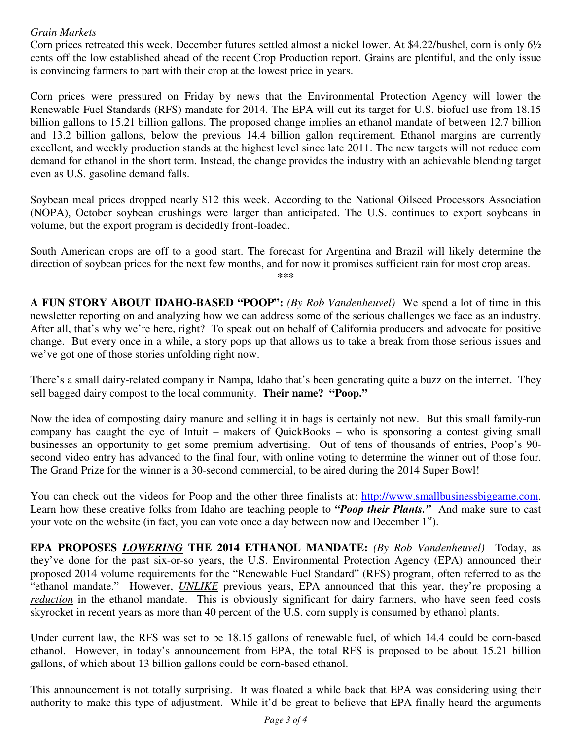### *Grain Markets*

Corn prices retreated this week. December futures settled almost a nickel lower. At \$4.22/bushel, corn is only 6½ cents off the low established ahead of the recent Crop Production report. Grains are plentiful, and the only issue is convincing farmers to part with their crop at the lowest price in years.

Corn prices were pressured on Friday by news that the Environmental Protection Agency will lower the Renewable Fuel Standards (RFS) mandate for 2014. The EPA will cut its target for U.S. biofuel use from 18.15 billion gallons to 15.21 billion gallons. The proposed change implies an ethanol mandate of between 12.7 billion and 13.2 billion gallons, below the previous 14.4 billion gallon requirement. Ethanol margins are currently excellent, and weekly production stands at the highest level since late 2011. The new targets will not reduce corn demand for ethanol in the short term. Instead, the change provides the industry with an achievable blending target even as U.S. gasoline demand falls.

Soybean meal prices dropped nearly \$12 this week. According to the National Oilseed Processors Association (NOPA), October soybean crushings were larger than anticipated. The U.S. continues to export soybeans in volume, but the export program is decidedly front-loaded.

South American crops are off to a good start. The forecast for Argentina and Brazil will likely determine the direction of soybean prices for the next few months, and for now it promises sufficient rain for most crop areas. **\*\*\*** 

**A FUN STORY ABOUT IDAHO-BASED "POOP":** *(By Rob Vandenheuvel)* We spend a lot of time in this newsletter reporting on and analyzing how we can address some of the serious challenges we face as an industry. After all, that's why we're here, right? To speak out on behalf of California producers and advocate for positive change. But every once in a while, a story pops up that allows us to take a break from those serious issues and we've got one of those stories unfolding right now.

There's a small dairy-related company in Nampa, Idaho that's been generating quite a buzz on the internet. They sell bagged dairy compost to the local community. **Their name? "Poop."**

Now the idea of composting dairy manure and selling it in bags is certainly not new. But this small family-run company has caught the eye of Intuit – makers of QuickBooks – who is sponsoring a contest giving small businesses an opportunity to get some premium advertising. Out of tens of thousands of entries, Poop's 90 second video entry has advanced to the final four, with online voting to determine the winner out of those four. The Grand Prize for the winner is a 30-second commercial, to be aired during the 2014 Super Bowl!

You can check out the videos for Poop and the other three finalists at: http://www.smallbusinessbiggame.com. Learn how these creative folks from Idaho are teaching people to *"Poop their Plants."* And make sure to cast your vote on the website (in fact, you can vote once a day between now and December  $1<sup>st</sup>$ ).

**EPA PROPOSES** *LOWERING* **THE 2014 ETHANOL MANDATE:** *(By Rob Vandenheuvel)* Today, as they've done for the past six-or-so years, the U.S. Environmental Protection Agency (EPA) announced their proposed 2014 volume requirements for the "Renewable Fuel Standard" (RFS) program, often referred to as the "ethanol mandate." However, *UNLIKE* previous years, EPA announced that this year, they're proposing a *reduction* in the ethanol mandate. This is obviously significant for dairy farmers, who have seen feed costs skyrocket in recent years as more than 40 percent of the U.S. corn supply is consumed by ethanol plants.

Under current law, the RFS was set to be 18.15 gallons of renewable fuel, of which 14.4 could be corn-based ethanol. However, in today's announcement from EPA, the total RFS is proposed to be about 15.21 billion gallons, of which about 13 billion gallons could be corn-based ethanol.

This announcement is not totally surprising. It was floated a while back that EPA was considering using their authority to make this type of adjustment. While it'd be great to believe that EPA finally heard the arguments